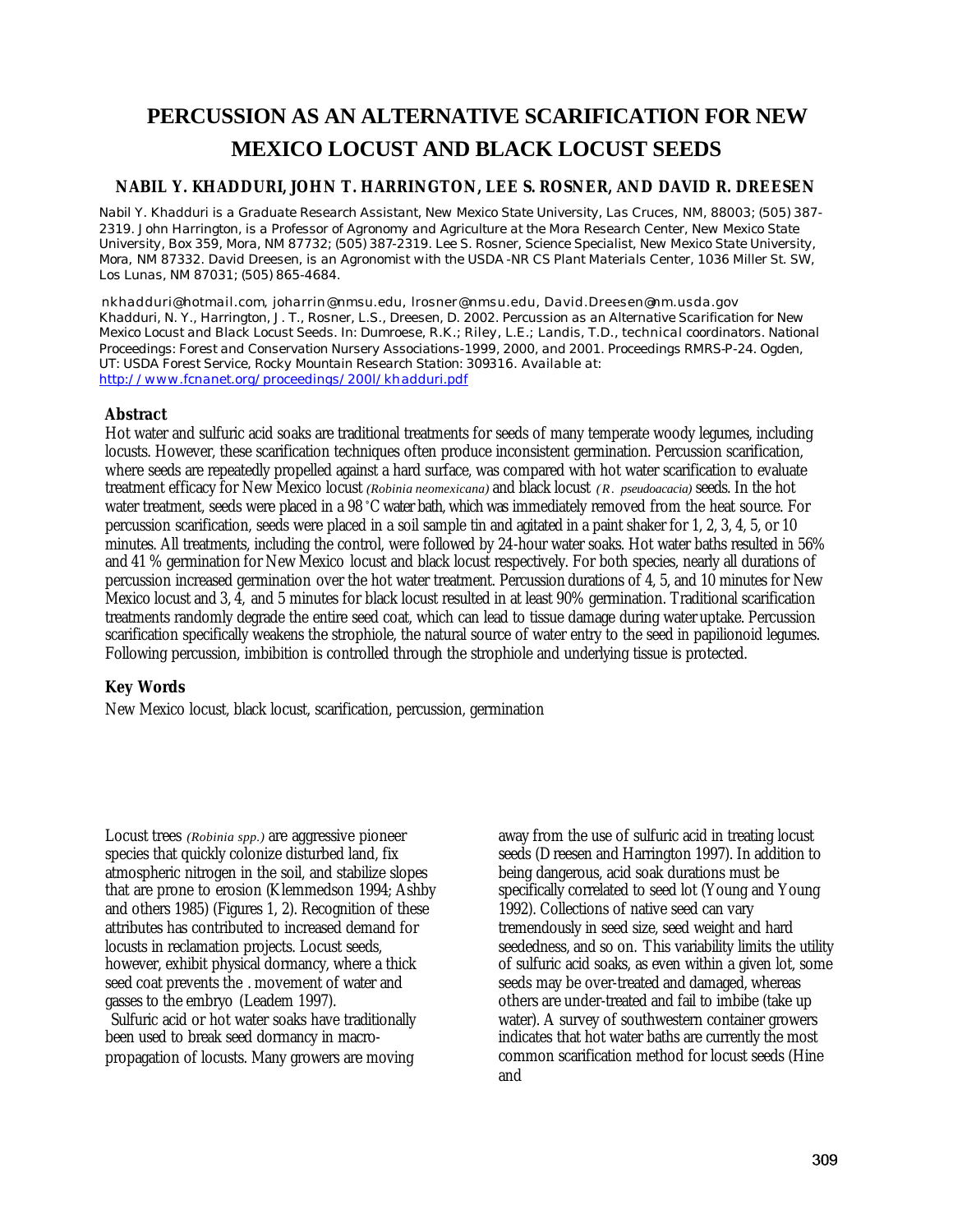# **PERCUSSION AS AN ALTERNATIVE SCARIFICATION FOR NEW MEXICO LOCUST AND BLACK LOCUST SEEDS**

# **NABIL Y. KHADDURI, JOHN T. HARRINGTON, LEE S. ROSNER, AND DAVID R. DREESEN**

*Nabil Y. Khadduri is a Graduate Research Assistant, New Mexico State University, Las Cruces, NM, 88003; (505) 387- 2319. John Harrington, is a Professor of Agronomy and Agriculture at the Mora Research Center, New Mexico State University, Box 359, Mora, NM 87732; (505) 387-2319. Lee S. Rosner, Science Specialist, New Mexico State University, Mora, NM 87332. David Dreesen, is an Agronomist with the USDA -NR CS Plant Materials Center, 1036 Miller St. SW, Los Lunas, NM 87031; (505) 865-4684.*

*nkhadduri@hotmail.com, joharrin@nmsu.edu, lrosner@nmsu.edu, David.Dreesen@nm.usda.gov Khadduri, N. Y., Harrington, J. T., Rosner, L.S., Dreesen, D. 2002. Percussion as an Alternative Scarification for New Mexico Locust and Black Locust Seeds. In: Dumroese, R.K.; Riley, L.E.; Landis, T.D., technical coordinators. National Proceedings: Forest and Conservation Nursery Associations-1999, 2000, and 2001. Proceedings RMRS-P-24. Ogden, UT: USDA Forest Service, Rocky Mountain Research Station: 309316. Available at: http://www.fcnanet.org/proceedings/200l/khadduri.pdf*

# **Abstract**

Hot water and sulfuric acid soaks are traditional treatments for seeds of many temperate woody legumes, including locusts. However, these scarification techniques often produce inconsistent germination. Percussion scarification, where seeds are repeatedly propelled against a hard surface, was compared with hot water scarification to evaluate treatment efficacy for New Mexico locust *(Robinia neomexicana)* and black locust *(R. pseudoacacia)* seeds. In the hot water treatment, seeds were placed in a 98 °C water bath, which was immediately removed from the heat source. For percussion scarification, seeds were placed in a soil sample tin and agitated in a paint shaker for 1, 2, 3, 4, 5, or 10 minutes. All treatments, including the control, were followed by 24-hour water soaks. Hot water baths resulted in 56% and 41 % germination for New Mexico locust and black locust respectively. For both species, nearly all durations of percussion increased germination over the hot water treatment. Percussion durations of 4, 5, and 10 minutes for New Mexico locust and 3, 4, and 5 minutes for black locust resulted in at least 90% germination. Traditional scarification treatments randomly degrade the entire seed coat, which can lead to tissue damage during water uptake. Percussion scarification specifically weakens the strophiole, the natural source of water entry to the seed in papilionoid legumes. Following percussion, imbibition is controlled through the strophiole and underlying tissue is protected.

# **Key Words**

New Mexico locust, black locust, scarification, percussion, germination

Locust trees *(Robinia spp.)* are aggressive pioneer species that quickly colonize disturbed land, fix atmospheric nitrogen in the soil, and stabilize slopes that are prone to erosion (Klemmedson 1994; Ashby and others 1985) (Figures 1, 2). Recognition of these attributes has contributed to increased demand for locusts in reclamation projects. Locust seeds, however, exhibit physical dormancy, where a thick seed coat prevents the . movement of water and gasses to the embryo (Leadem 1997). Sulfuric acid or hot water soaks have traditionally been used to break seed dormancy in macro-

propagation of locusts. Many growers are moving

away from the use of sulfuric acid in treating locust seeds (Dreesen and Harrington 1997). In addition to being dangerous, acid soak durations must be specifically correlated to seed lot (Young and Young 1992). Collections of native seed can vary tremendously in seed size, seed weight and hard seededness, and so on. This variability limits the utility of sulfuric acid soaks, as even within a given lot, some seeds may be over-treated and damaged, whereas others are under-treated and fail to imbibe (take up water). A survey of southwestern container growers indicates that hot water baths are currently the most common scarification method for locust seeds (Hine and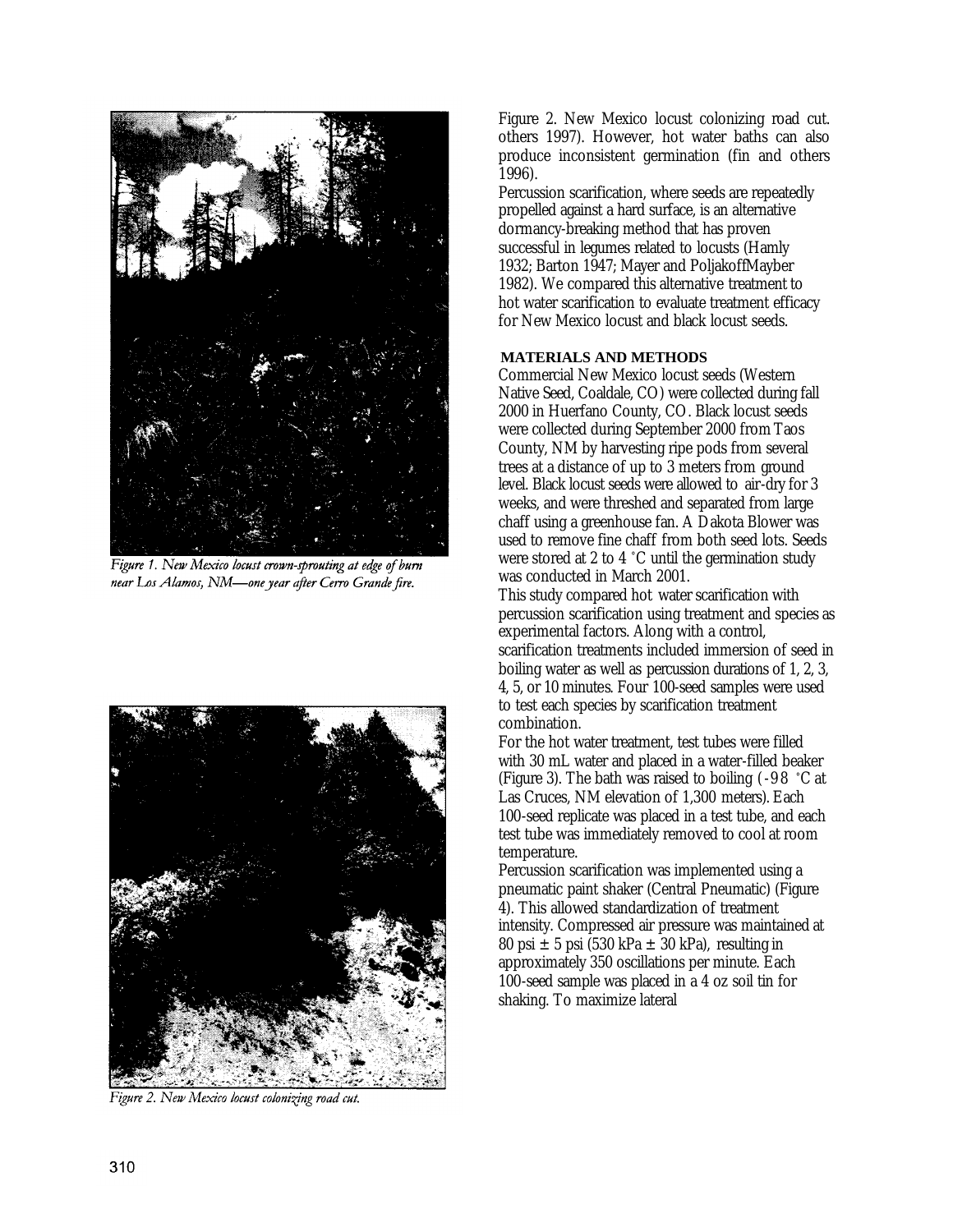

Figure 1. New Mexico locust crown-sprouting at edge of burn near Los Alamos, NM-one year after Cerro Grande fire.



Figure 2. New Mexico locust colonizing road cut.

Figure 2. New Mexico locust colonizing road cut. others 1997). However, hot water baths can also produce inconsistent germination (fin and others 1996).

Percussion scarification, where seeds are repeatedly propelled against a hard surface, is an alternative dormancy-breaking method that has proven successful in legumes related to locusts (Hamly 1932; Barton 1947; Mayer and PoljakoffMayber 1982). We compared this alternative treatment to hot water scarification to evaluate treatment efficacy for New Mexico locust and black locust seeds.

#### **MATERIALS AND METHODS**

Commercial New Mexico locust seeds (Western Native Seed, Coaldale, CO) were collected during fall 2000 in Huerfano County, CO. Black locust seeds were collected during September 2000 from Taos County, NM by harvesting ripe pods from several trees at a distance of up to 3 meters from ground level. Black locust seeds were allowed to air-dry for 3 weeks, and were threshed and separated from large chaff using a greenhouse fan. A Dakota Blower was used to remove fine chaff from both seed lots. Seeds were stored at 2 to 4 °C until the germination study was conducted in March 2001.

This study compared hot water scarification with percussion scarification using treatment and species as experimental factors. Along with a control, scarification treatments included immersion of seed in boiling water as well as percussion durations of 1, 2, 3, 4, 5, or 10 minutes. Four 100-seed samples were used to test each species by scarification treatment combination.

For the hot water treatment, test tubes were filled with 30 mL water and placed in a water-filled beaker (Figure 3). The bath was raised to boiling (-98 °C at Las Cruces, NM elevation of 1,300 meters). Each 100-seed replicate was placed in a test tube, and each test tube was immediately removed to cool at room temperature.

Percussion scarification was implemented using a pneumatic paint shaker (Central Pneumatic) (Figure 4). This allowed standardization of treatment intensity. Compressed air pressure was maintained at 80 psi  $\pm$  5 psi (530 kPa  $\pm$  30 kPa), resulting in approximately 350 oscillations per minute. Each 100-seed sample was placed in a 4 oz soil tin for shaking. To maximize lateral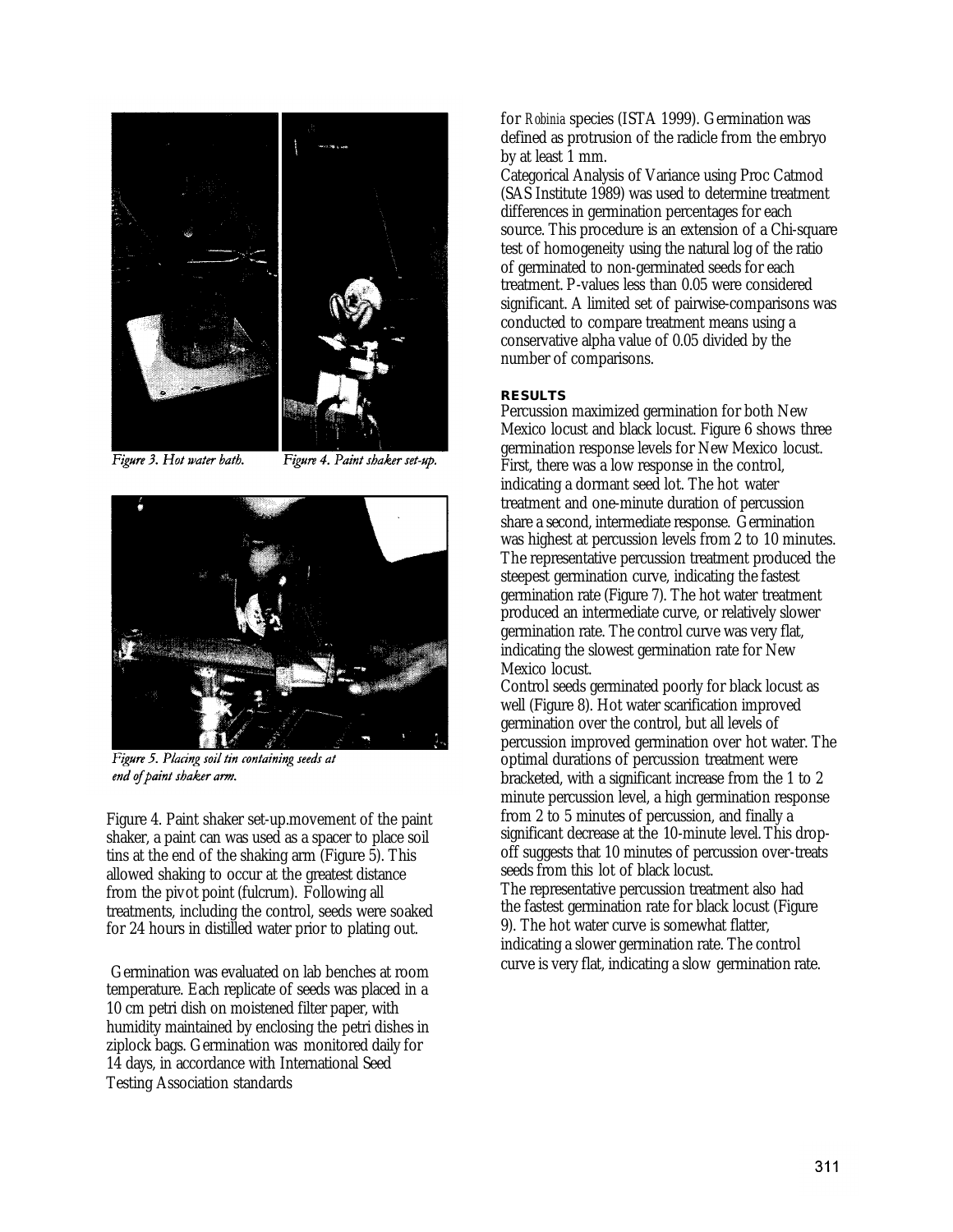

Figure 3. Hot water bath.

Figure 4. Paint shaker set-up.



Figure 5. Placing soil tin containing seeds at end of paint shaker arm.

Figure 4. Paint shaker set-up.movement of the paint shaker, a paint can was used as a spacer to place soil tins at the end of the shaking arm (Figure 5). This allowed shaking to occur at the greatest distance from the pivot point (fulcrum). Following all treatments, including the control, seeds were soaked for 24 hours in distilled water prior to plating out.

Germination was evaluated on lab benches at room temperature. Each replicate of seeds was placed in a 10 cm petri dish on moistened filter paper, with humidity maintained by enclosing the petri dishes in ziplock bags. Germination was monitored daily for 14 days, in accordance with International Seed Testing Association standards

for *Robinia* species (ISTA 1999). Germination was defined as protrusion of the radicle from the embryo by at least 1 mm.

Categorical Analysis of Variance using Proc Catmod (SAS Institute 1989) was used to determine treatment differences in germination percentages for each source. This procedure is an extension of a Chi-square test of homogeneity using the natural log of the ratio of germinated to non-germinated seeds for each treatment. P-values less than 0.05 were considered significant. A limited set of pairwise-comparisons was conducted to compare treatment means using a conservative alpha value of 0.05 divided by the number of comparisons.

#### **RESULTS**

Percussion maximized germination for both New Mexico locust and black locust. Figure 6 shows three germination response levels for New Mexico locust. First, there was a low response in the control, indicating a dormant seed lot. The hot water treatment and one-minute duration of percussion share a second, intermediate response. Germination was highest at percussion levels from 2 to 10 minutes. The representative percussion treatment produced the steepest germination curve, indicating the fastest germination rate (Figure 7). The hot water treatment produced an intermediate curve, or relatively slower germination rate. The control curve was very flat, indicating the slowest germination rate for New Mexico locust.

Control seeds germinated poorly for black locust as well (Figure 8). Hot water scarification improved germination over the control, but all levels of percussion improved germination over hot water. The optimal durations of percussion treatment were bracketed, with a significant increase from the 1 to 2 minute percussion level, a high germination response from 2 to 5 minutes of percussion, and finally a significant decrease at the 10-minute level. This dropoff suggests that 10 minutes of percussion over-treats seeds from this lot of black locust.

The representative percussion treatment also had the fastest germination rate for black locust (Figure 9). The hot water curve is somewhat flatter, indicating a slower germination rate. The control curve is very flat, indicating a slow germination rate.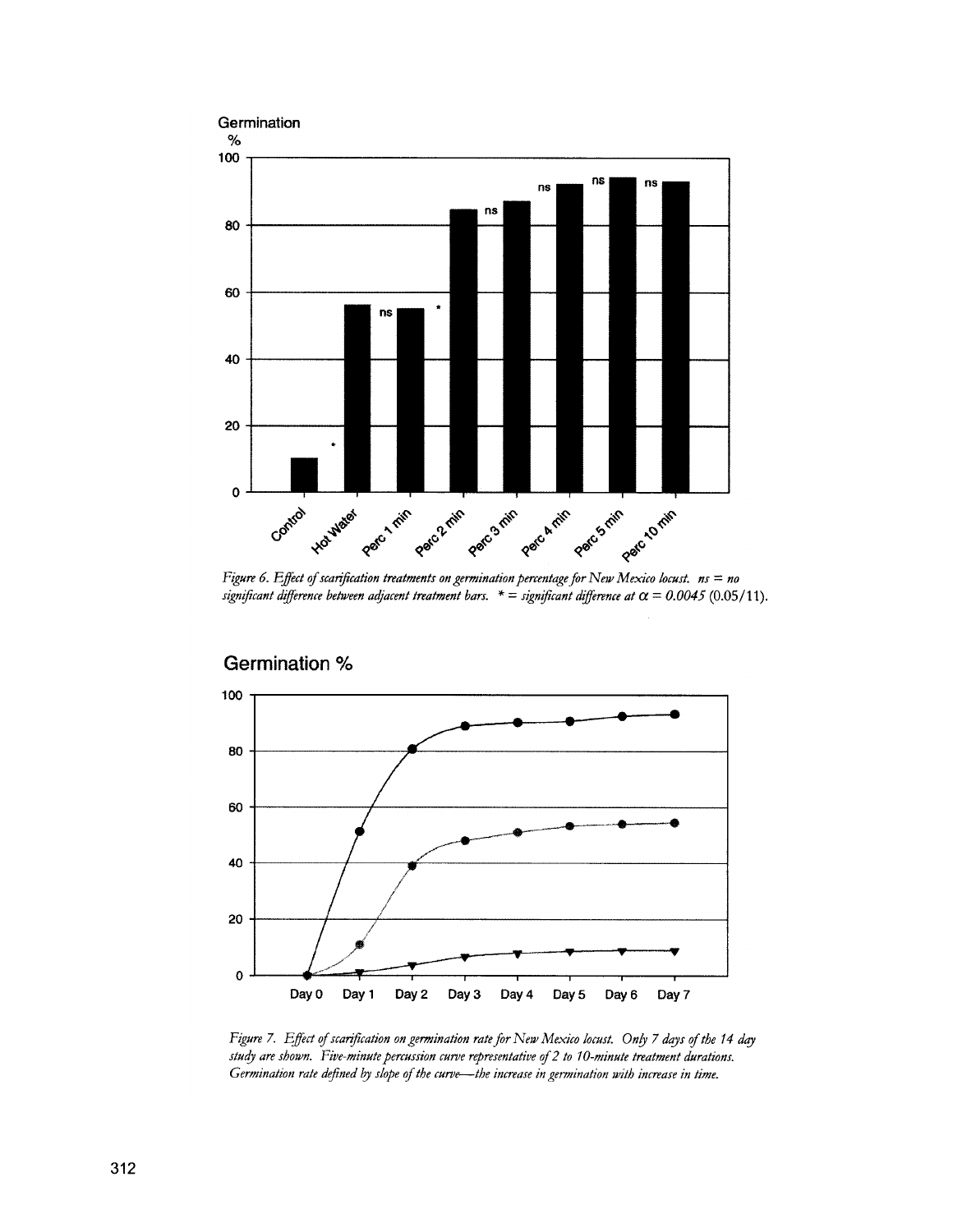

Figure 6. Effect of scarification treatments on germination percentage for New Mexico locust.  $n_s = n_0$ significant difference between adjacent treatment bars.  $* =$  significant difference at  $\alpha = 0.0045$  (0.05/11).



Figure 7. Effect of scarification on germination rate for New Mexico locust. Only 7 days of the 14 day study are shown. Five-minute percussion curve representative of 2 to 10-minute treatment durations. Germination rate defined by slope of the curve-the increase in germination with increase in time.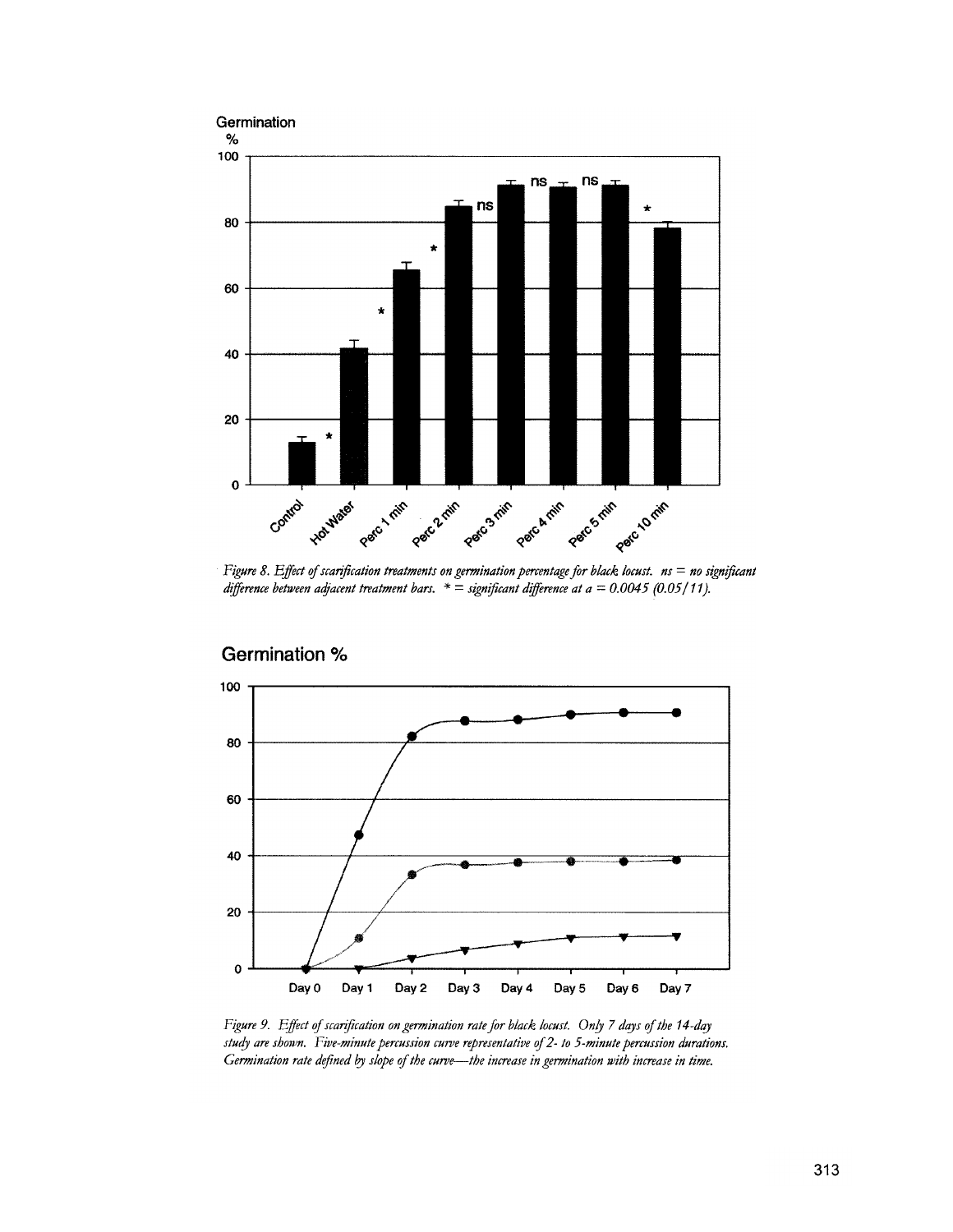

Figure 8. Effect of scarification treatments on germination percentage for black locust.  $ns = no$  significant difference between adjacent treatment bars.  $* =$  significant difference at a = 0.0045 (0.05/11).



**Germination %** 

Figure 9. Effect of scarification on germination rate for black locust. Only 7 days of the 14-day study are shown. Five-minute percussion curve representative of 2- to 5-minute percussion durations. Germination rate defined by slope of the curve-the increase in germination with increase in time.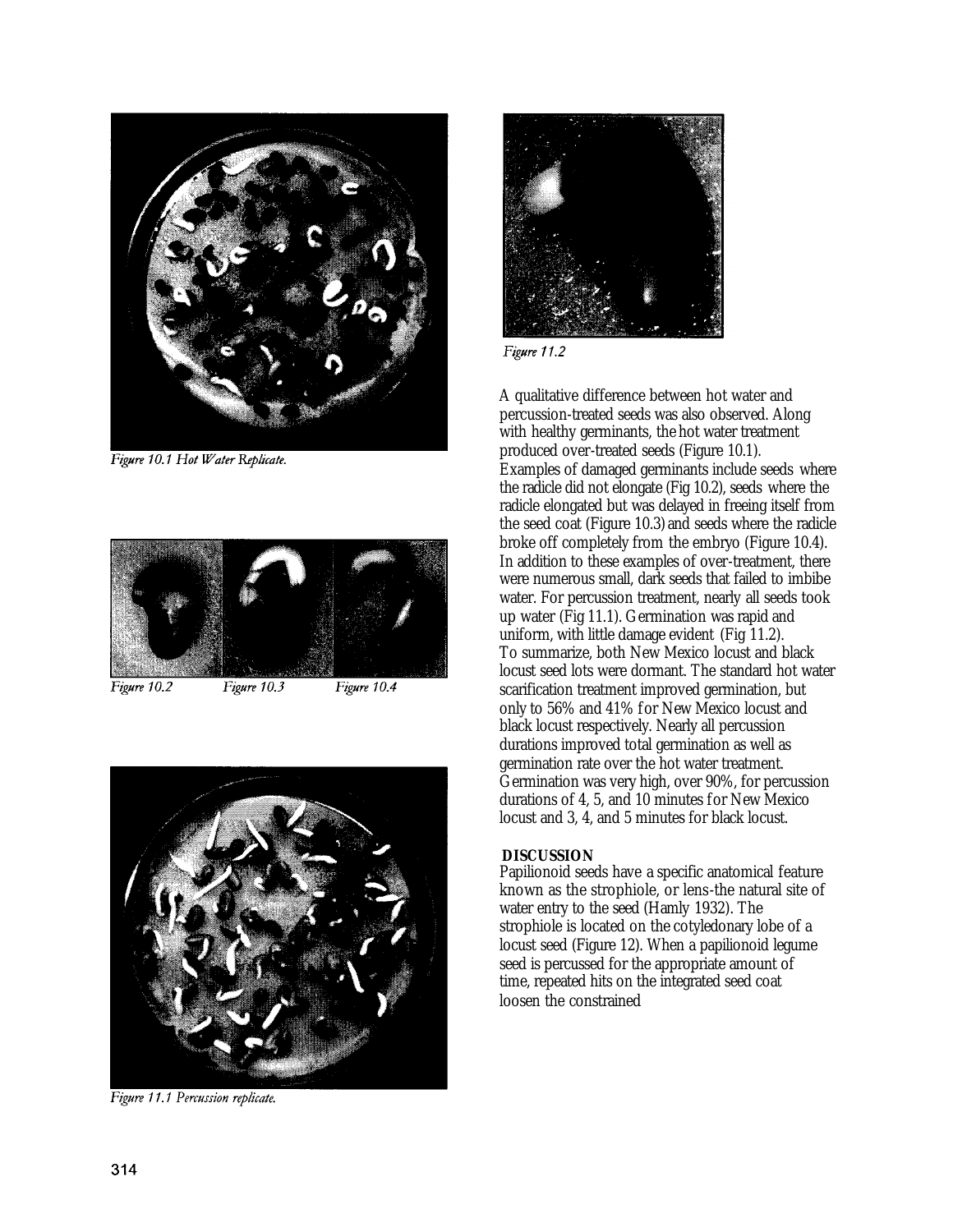

Figure 10.1 Hot Water Replicate.



Figure 10.2

Figure 10.3 Figure 10.4



Figure 11.1 Percussion replicate.



Figure 11.2

A qualitative difference between hot water and percussion-treated seeds was also observed. Along with healthy germinants, the hot water treatment produced over-treated seeds (Figure 10.1). Examples of damaged germinants include seeds where the radicle did not elongate (Fig 10.2), seeds where the radicle elongated but was delayed in freeing itself from the seed coat (Figure 10.3) and seeds where the radicle broke off completely from the embryo (Figure 10.4). In addition to these examples of over-treatment, there were numerous small, dark seeds that failed to imbibe water. For percussion treatment, nearly all seeds took up water (Fig 11.1). Germination was rapid and uniform, with little damage evident (Fig 11.2). To summarize, both New Mexico locust and black locust seed lots were dormant. The standard hot water scarification treatment improved germination, but only to 56% and 41% for New Mexico locust and black locust respectively. Nearly all percussion durations improved total germination as well as germination rate over the hot water treatment. Germination was very high, over 90%, for percussion durations of 4, 5, and 10 minutes for New Mexico locust and 3, 4, and 5 minutes for black locust.

## **DISCUSSION**

Papilionoid seeds have a specific anatomical feature known as the strophiole, or lens-the natural site of water entry to the seed (Hamly 1932). The strophiole is located on the cotyledonary lobe of a locust seed (Figure 12). When a papilionoid legume seed is percussed for the appropriate amount of time, repeated hits on the integrated seed coat loosen the constrained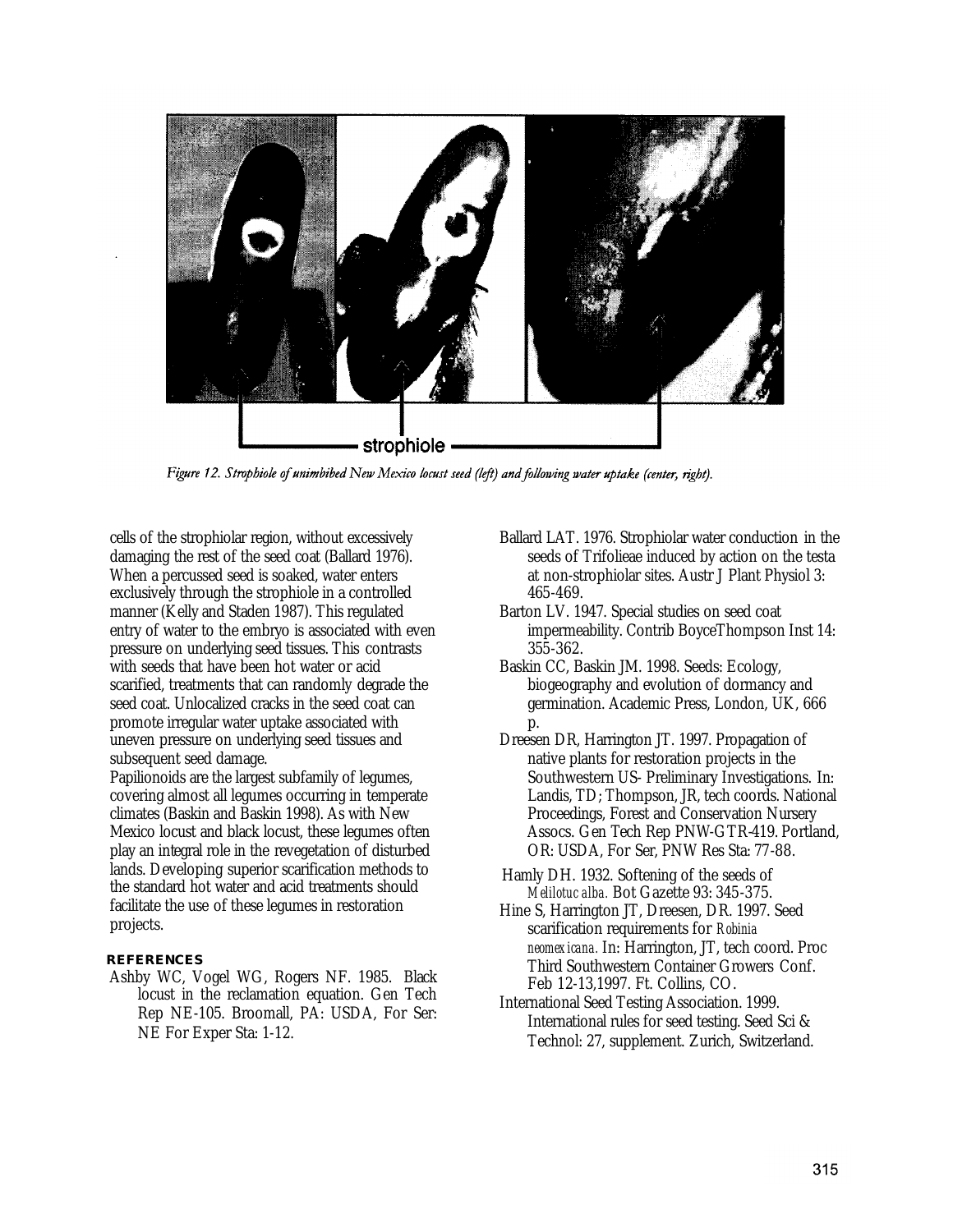

Figure 12. Strophiole of unimbibed New Mexico locust seed (left) and following water uptake (center, right).

cells of the strophiolar region, without excessively damaging the rest of the seed coat (Ballard 1976). When a percussed seed is soaked, water enters exclusively through the strophiole in a controlled manner (Kelly and Staden 1987). This regulated entry of water to the embryo is associated with even pressure on underlying seed tissues. This contrasts with seeds that have been hot water or acid scarified, treatments that can randomly degrade the seed coat. Unlocalized cracks in the seed coat can promote irregular water uptake associated with uneven pressure on underlying seed tissues and subsequent seed damage.

Papilionoids are the largest subfamily of legumes, covering almost all legumes occurring in temperate climates (Baskin and Baskin 1998). As with New Mexico locust and black locust, these legumes often play an integral role in the revegetation of disturbed lands. Developing superior scarification methods to the standard hot water and acid treatments should facilitate the use of these legumes in restoration projects.

## **REFERENCES**

Ashby WC, Vogel WG, Rogers NF. 1985. Black locust in the reclamation equation. Gen Tech Rep NE-105. Broomall, PA: USDA, For Ser: NE For Exper Sta: 1-12.

- Ballard LAT. 1976. Strophiolar water conduction in the seeds of Trifolieae induced by action on the testa at non-strophiolar sites. Austr J Plant Physiol 3: 465-469.
- Barton LV. 1947. Special studies on seed coat impermeability. Contrib BoyceThompson Inst 14: 355-362.
- Baskin CC, Baskin JM. 1998. Seeds: Ecology, biogeography and evolution of dormancy and germination. Academic Press, London, UK, 666 p.
- Dreesen DR, Harrington JT. 1997. Propagation of native plants for restoration projects in the Southwestern US- Preliminary Investigations. In: Landis, TD; Thompson, JR, tech coords. National Proceedings, Forest and Conservation Nursery Assocs. Gen Tech Rep PNW-GTR-419. Portland, OR: USDA, For Ser, PNW Res Sta: 77-88.
- Hamly DH. 1932. Softening of the seeds of *Melilotuc alba.* Bot Gazette 93: 345-375.
- Hine S, Harrington JT, Dreesen, DR. 1997. Seed scarification requirements for *Robinia neomexicana.* In: Harrington, JT, tech coord. Proc Third Southwestern Container Growers Conf. Feb 12-13,1997. Ft. Collins, CO.
- International Seed Testing Association. 1999. International rules for seed testing. Seed Sci & Technol: 27, supplement. Zurich, Switzerland.